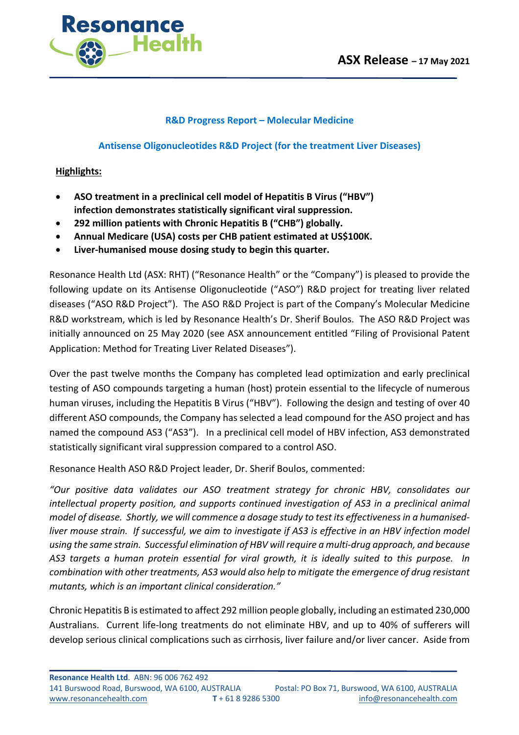

## **R&D Progress Report – Molecular Medicine**

## **Antisense Oligonucleotides R&D Project (for the treatment Liver Diseases)**

## **Highlights:**

- **ASO treatment in a preclinical cell model of Hepatitis B Virus ("HBV") infection demonstrates statistically significant viral suppression.**
- **292 million patients with Chronic Hepatitis B ("CHB") globally.**
- **Annual Medicare (USA) costs per CHB patient estimated at US\$100K.**
- **Liver-humanised mouse dosing study to begin this quarter.**

Resonance Health Ltd (ASX: RHT) ("Resonance Health" or the "Company") is pleased to provide the following update on its Antisense Oligonucleotide ("ASO") R&D project for treating liver related diseases ("ASO R&D Project"). The ASO R&D Project is part of the Company's Molecular Medicine R&D workstream, which is led by Resonance Health's Dr. Sherif Boulos. The ASO R&D Project was initially announced on 25 May 2020 (see ASX announcement entitled "Filing of Provisional Patent Application: Method for Treating Liver Related Diseases").

Over the past twelve months the Company has completed lead optimization and early preclinical testing of ASO compounds targeting a human (host) protein essential to the lifecycle of numerous human viruses, including the Hepatitis B Virus ("HBV"). Following the design and testing of over 40 different ASO compounds, the Company has selected a lead compound for the ASO project and has named the compound AS3 ("AS3"). In a preclinical cell model of HBV infection, AS3 demonstrated statistically significant viral suppression compared to a control ASO.

Resonance Health ASO R&D Project leader, Dr. Sherif Boulos, commented:

*"Our positive data validates our ASO treatment strategy for chronic HBV, consolidates our intellectual property position, and supports continued investigation of AS3 in a preclinical animal model of disease. Shortly, we will commence a dosage study to test its effectiveness in a humanisedliver mouse strain. If successful, we aim to investigate if AS3 is effective in an HBV infection model using the same strain. Successful elimination of HBV will require a multi-drug approach, and because AS3 targets a human protein essential for viral growth, it is ideally suited to this purpose. In combination with other treatments, AS3 would also help to mitigate the emergence of drug resistant mutants, which is an important clinical consideration."*

Chronic Hepatitis B is estimated to affect 292 million people globally, including an estimated 230,000 Australians. Current life-long treatments do not eliminate HBV, and up to 40% of sufferers will develop serious clinical complications such as cirrhosis, liver failure and/or liver cancer. Aside from